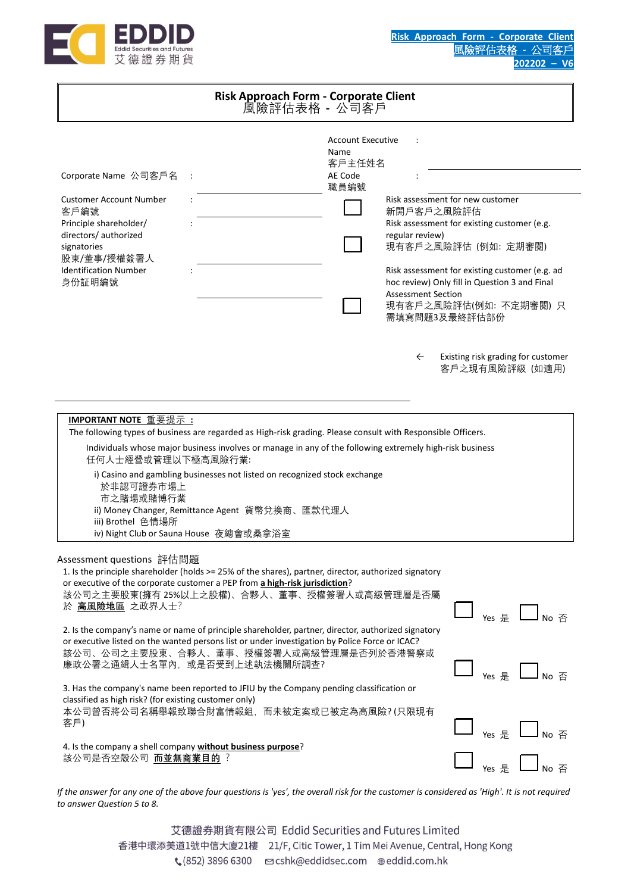

| Risk Approach Form - Corporate Client<br>風險評估表格 - 公司客戶                                                                                                                                    |                                                                                                                                                                                                                                                                                                                                                                                                                                                                                                                         |                                                               |                                                                                                     |                                                                                                                                                                                                                                      |  |
|-------------------------------------------------------------------------------------------------------------------------------------------------------------------------------------------|-------------------------------------------------------------------------------------------------------------------------------------------------------------------------------------------------------------------------------------------------------------------------------------------------------------------------------------------------------------------------------------------------------------------------------------------------------------------------------------------------------------------------|---------------------------------------------------------------|-----------------------------------------------------------------------------------------------------|--------------------------------------------------------------------------------------------------------------------------------------------------------------------------------------------------------------------------------------|--|
| Corporate Name 公司客戶名<br><b>Customer Account Number</b><br>客戶編號<br>Principle shareholder/<br>directors/ authorized<br>signatories<br>股東/董事/授權簽署人<br><b>Identification Number</b><br>身份証明編號 |                                                                                                                                                                                                                                                                                                                                                                                                                                                                                                                         | <b>Account Executive</b><br>Name<br>客戶主任姓名<br>AE Code<br>職員編號 | $\ddot{\phantom{a}}$<br>新開戶客戶之風險評估<br>regular review)<br><b>Assessment Section</b><br>需填寫問題3及最終評估部份 | Risk assessment for new customer<br>Risk assessment for existing customer (e.g.<br>現有客戶之風險評估 (例如: 定期審閱)<br>Risk assessment for existing customer (e.g. ad<br>hoc review) Only fill in Question 3 and Final<br>現有客戶之風險評估(例如: 不定期審閱) 只 |  |
| IMPORTANT NOTE 重要提示:<br>任何人士經營或管理以下極高風險行業:<br>於非認可證券市場上<br>市之賭場或賭博行業<br>iii) Brothel 色情場所                                                                                                 | The following types of business are regarded as High-risk grading. Please consult with Responsible Officers.<br>Individuals whose major business involves or manage in any of the following extremely high-risk business<br>i) Casino and gambling businesses not listed on recognized stock exchange<br>ii) Money Changer, Remittance Agent 貨幣兌換商、匯款代理人<br>iv) Night Club or Sauna House 夜總會或桑拿浴室                                                                                                                      |                                                               | $\leftarrow$                                                                                        | Existing risk grading for customer<br>客戶之現有風險評級 (如適用)                                                                                                                                                                                |  |
| Assessment questions 評估問題<br>於 高風險地區 之政界人士?                                                                                                                                               | 1. Is the principle shareholder (holds >= 25% of the shares), partner, director, authorized signatory<br>or executive of the corporate customer a PEP from a high-risk jurisdiction?<br>該公司之主要股東(擁有 25%以上之股權)、合夥人、董事、授權簽署人或高級管理層是否屬<br>2. Is the company's name or name of principle shareholder, partner, director, authorized signatory<br>or executive listed on the wanted persons list or under investigation by Police Force or ICAC?<br>該公司、公司之主要股東、合夥人、董事、授權簽署人或高級管理層是否列於香港警察或<br>廉政公署之通緝人士名單內, 或是否受到上述執法機關所調查? |                                                               |                                                                                                     | $Yes \nightharpoondown E$ No $\overline{A}$                                                                                                                                                                                          |  |
| classified as high risk? (for existing customer only)<br>客戶)<br>該公司是否空殼公司 而並無商業目的?                                                                                                        | 3. Has the company's name been reported to JFIU by the Company pending classification or<br>本公司曾否將公司名稱舉報致聯合財富情報組,而未被定案或已被定為高風險? (只限現有<br>4. Is the company a shell company without business purpose?                                                                                                                                                                                                                                                                                                                    |                                                               |                                                                                                     | $\gamma$ es $\frac{1}{2}$ $\Box$ No $\overline{A}$<br>$\Box$ $_{\sf Yes}$ $_{\sf E}$ $\Box$ $_{\sf No}$ $_{\rm \widetilde{\Delta}}$<br>$Y$ es $E$ $\Box$ No $E$                                                                      |  |

*If the answer for any one of the above four questions is 'yes', the overall risk for the customer is considered as 'High'. It is not required to answer Question 5 to 8.*

> 艾德證券期貨有限公司 Eddid Securities and Futures Limited 香港中環添美道1號中信大廈21樓 21/F, Citic Tower, 1 Tim Mei Avenue, Central, Hong Kong ↓ (852) 3896 6300 cshk@eddidsec.com @eddid.com.hk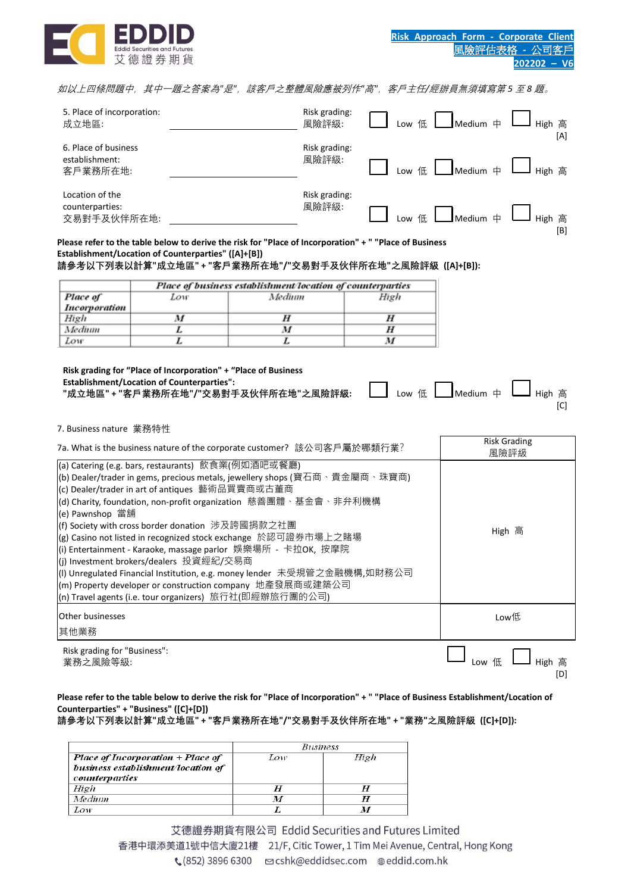

如以上四條問題中,其中一題之答案為*"*是*"*,該客戶之整體風險應被列作*"*高*"*,客戶主任*/*經辦員無須填寫第 *5* 至 *8* 題。

| 5. Place of incorporation:<br>成立地區:                | Risk grading:<br>風險評級: | Medium $\#$<br>High 高<br>Low 低<br>[A]               |
|----------------------------------------------------|------------------------|-----------------------------------------------------|
| 6. Place of business<br>establishment:<br>客戶業務所在地: | Risk grading:<br>風險評級: | Medium 中<br>High 高<br>Low $\leftarrow$ $\leftarrow$ |
| Location of the<br>counterparties:<br>交易對手及伙伴所在地:  | Risk grading:<br>風險評級: | $M$ edium $\oplus$<br>High 高<br>低<br>Low<br>[B]     |

**Please refer to the table below to derive the risk for "Place of Incorporation" + " "Place of Business Establishment/Location of Counterparties" ([A]+[B])**

**請參考以下列表以計算"成立地區" + "客戶業務所在地"/"交易對手及伙伴所在地"之風險評級 ([A]+[B]):**

|                      | Place of business establishment/location of counterparties |        |      |  |  |  |
|----------------------|------------------------------------------------------------|--------|------|--|--|--|
| Place of             | Low                                                        | Medium | High |  |  |  |
| <b>Incorporation</b> |                                                            |        |      |  |  |  |
| High                 | v                                                          |        |      |  |  |  |
| Medium               |                                                            |        |      |  |  |  |
| Low                  |                                                            |        |      |  |  |  |

**Risk grading for "Place of Incorporation" + "Place of Business Establishment/Location of Counterparties":**  Establishment*γ*.ocation or counterparties:<br>"成立地區"+"客戶業務所在地"/"交易對手及伙伴所在地"之風險評級: ███████ Low 低 ███████Medium 中 ███ High 高

 $[C]$ 

7. Business nature 業務特性

| 7a. What is the business nature of the corporate customer? 該公司客戶屬於哪類行業?                                                       | <b>Risk Grading</b><br>風險評級 |
|-------------------------------------------------------------------------------------------------------------------------------|-----------------------------|
| (a) Catering (e.g. bars, restaurants) 飲食業(例如酒吧或餐廳)                                                                            |                             |
| (b) Dealer/trader in gems, precious metals, jewellery shops (寶石商、貴金屬商、珠寶商)<br>(c) Dealer/trader in art of antiques 藝術品買賣商或古董商 |                             |
| (d) Charity, foundation, non-profit organization  慈善團體、基金會、非弁利機構<br>(e) Pawnshop 當舖                                           |                             |
| (f) Society with cross border donation  涉及誇國捐款之社團                                                                             | High 高                      |
| (g) Casino not listed in recognized stock exchange 於認可證券市場上之賭場                                                                |                             |
| (i) Entertainment - Karaoke, massage parlor 娱樂場所 - 卡拉OK, 按摩院                                                                  |                             |
| (I) Unregulated Financial Institution, e.g. money lender 未受規管之金融機構,如財務公司                                                      |                             |
| (m) Property developer or construction company 地產發展商或建築公司                                                                     |                             |
| (n) Travel agents (i.e. tour organizers)  旅行社(即經辦旅行團的公司)                                                                      |                             |
| <b>Other businesses</b>                                                                                                       | Low低                        |
| 其他業務                                                                                                                          |                             |
| Risk grading for "Business":<br>業務之風險等級:                                                                                      | [D]                         |

**Please refer to the table below to derive the risk for "Place of Incorporation" + " "Place of Business Establishment/Location of Counterparties" + "Business" ([C]+[D])**

**請參考以下列表以計算"成立地區" + "客戶業務所在地"/"交易對手及伙伴所在地" + "業務"之風險評級 ([C]+[D]):**

|                                    | Business |      |  |  |
|------------------------------------|----------|------|--|--|
| Place of Incorporation + Place of  | Low      | High |  |  |
| business establishment/location of |          |      |  |  |
| <i>counterparties</i>              |          |      |  |  |
| High                               | Н        |      |  |  |
| Medium                             |          | H    |  |  |
| ow                                 |          |      |  |  |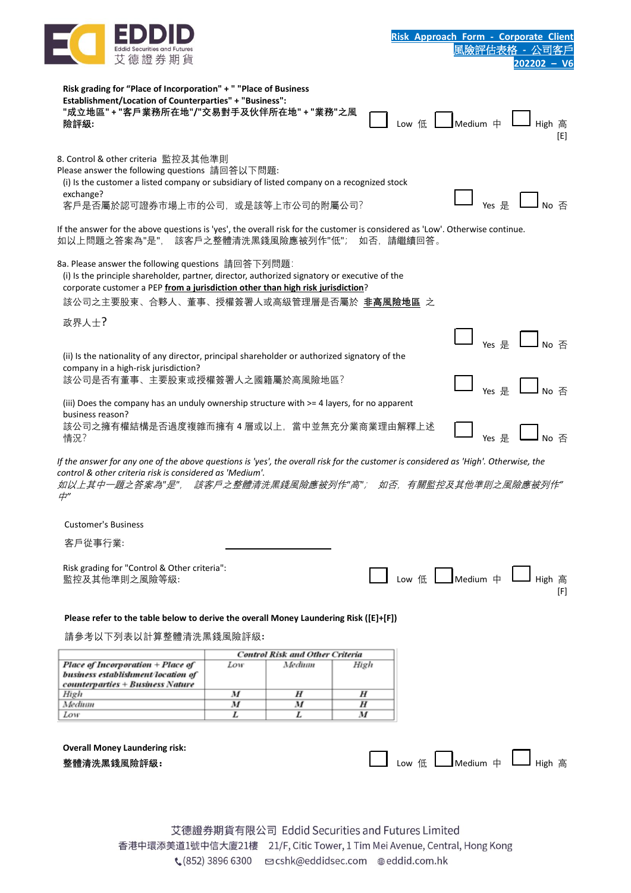

| Risk grading for "Place of Incorporation" + " "Place of Business<br>Establishment/Location of Counterparties" + "Business":<br>"成立地區" + "客戶業務所在地"/"交易對手及伙伴所在地" + "業務"之風<br>險評級:                                                                                                             |        |                                        |        | I Low 低 L Medium 中 L High 高        |                                                                      | [E] |
|---------------------------------------------------------------------------------------------------------------------------------------------------------------------------------------------------------------------------------------------------------------------------------------------|--------|----------------------------------------|--------|------------------------------------|----------------------------------------------------------------------|-----|
| 8. Control & other criteria 監控及其他準則<br>Please answer the following questions 請回答以下問題:<br>(i) Is the customer a listed company or subsidiary of listed company on a recognized stock<br>exchange?<br>客戶是否屬於認可證券市場上市的公司, 或是該等上市公司的附屬公司?                                                       |        |                                        |        |                                    | $Yes \nsubseteq \Box$ No $\overline{A}$                              |     |
| If the answer for the above questions is 'yes', the overall risk for the customer is considered as 'Low'. Otherwise continue.<br>如以上問題之答案為"是", 該客戶之整體清洗黑錢風險應被列作"低"; 如否,請繼續回答。                                                                                                               |        |                                        |        |                                    |                                                                      |     |
| 8a. Please answer the following questions 請回答下列問題:<br>(i) Is the principle shareholder, partner, director, authorized signatory or executive of the<br>corporate customer a PEP from a jurisdiction other than high risk jurisdiction?<br>該公司之主要股東、合夥人、董事、授權簽署人或高級管理層是否屬於 非高風險地區 之<br>政界人士? |        |                                        |        |                                    |                                                                      |     |
|                                                                                                                                                                                                                                                                                             |        |                                        |        |                                    | $Yes \nightharpoondown E$ No $\overline{A}$                          |     |
| (ii) Is the nationality of any director, principal shareholder or authorized signatory of the                                                                                                                                                                                               |        |                                        |        |                                    |                                                                      |     |
| company in a high-risk jurisdiction?<br>該公司是否有董事、主要股東或授權簽署人之國籍屬於高風險地區?                                                                                                                                                                                                                      |        |                                        |        |                                    | $Yes \n\mathrel{\mathop:}= \blacksquare$ No $\overline{\mathcal{A}}$ |     |
| (iii) Does the company has an unduly ownership structure with >= 4 layers, for no apparent<br>business reason?<br>該公司之擁有權結構是否過度複雜而擁有4層或以上,當中並無充分業商業理由解釋上述<br>情況?                                                                                                                            |        |                                        |        |                                    | Yes 是                                                                |     |
| If the answer for any one of the above questions is 'yes', the overall risk for the customer is considered as 'High'. Otherwise, the<br>control & other criteria risk is considered as 'Medium'.<br>如以上其中一題之答案為"是", 該客戶之整體清洗黑錢風險應被列作"高"; 如否,有關監控及其他準則之風險應被列作"<br>中"                         |        |                                        |        |                                    |                                                                      |     |
| <b>Customer's Business</b>                                                                                                                                                                                                                                                                  |        |                                        |        |                                    |                                                                      |     |
| 客戶從事行業:                                                                                                                                                                                                                                                                                     |        |                                        |        |                                    |                                                                      |     |
| Risk grading for "Control & Other criteria":<br>監控及其他準則之風險等級:                                                                                                                                                                                                                               |        |                                        |        | ■ Low 低 ■ Medium 中 ■ High 高        |                                                                      | [F] |
| Please refer to the table below to derive the overall Money Laundering Risk ([E]+[F])                                                                                                                                                                                                       |        |                                        |        |                                    |                                                                      |     |
| 請參考以下列表以計算整體清洗黑錢風險評級:                                                                                                                                                                                                                                                                       |        |                                        |        |                                    |                                                                      |     |
|                                                                                                                                                                                                                                                                                             |        | <b>Control Risk and Other Criteria</b> |        |                                    |                                                                      |     |
| Place of Incorporation + Place of                                                                                                                                                                                                                                                           | Low    | Medium                                 | High   |                                    |                                                                      |     |
| business establishment/location of<br>counterparties + Business Nature                                                                                                                                                                                                                      |        |                                        |        |                                    |                                                                      |     |
| High                                                                                                                                                                                                                                                                                        | M      | H                                      | H      |                                    |                                                                      |     |
| Medium<br>Low                                                                                                                                                                                                                                                                               | M<br>L | M<br>L                                 | H<br>M |                                    |                                                                      |     |
| <b>Overall Money Laundering risk:</b><br>整體清洗黑錢風險評級:                                                                                                                                                                                                                                        |        |                                        |        | └── Low 低 ┃  ̄ Medium 中 ┃ _ High 高 |                                                                      |     |